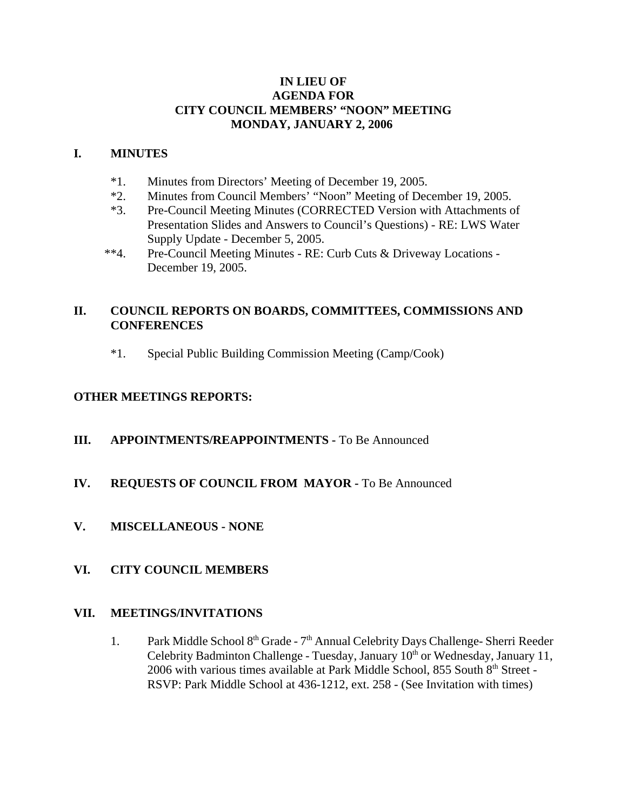#### **IN LIEU OF AGENDA FOR CITY COUNCIL MEMBERS' "NOON" MEETING MONDAY, JANUARY 2, 2006**

#### **I. MINUTES**

- 
- \*1. Minutes from Directors' Meeting of December 19, 2005.<br>\*2. Minutes from Council Members' "Noon" Meeting of Dec Minutes from Council Members' "Noon" Meeting of December 19, 2005.
- \*3. Pre-Council Meeting Minutes (CORRECTED Version with Attachments of Presentation Slides and Answers to Council's Questions) - RE: LWS Water Supply Update - December 5, 2005.
- \*\*4. Pre-Council Meeting Minutes RE: Curb Cuts & Driveway Locations December 19, 2005.

# **II. COUNCIL REPORTS ON BOARDS, COMMITTEES, COMMISSIONS AND CONFERENCES**

\*1. Special Public Building Commission Meeting (Camp/Cook)

## **OTHER MEETINGS REPORTS:**

**III.** APPOINTMENTS/REAPPOINTMENTS - To Be Announced

## **IV. REQUESTS OF COUNCIL FROM MAYOR -** To Be Announced

**V. MISCELLANEOUS - NONE** 

## **VI. CITY COUNCIL MEMBERS**

#### **VII. MEETINGS/INVITATIONS**

1. Park Middle School 8th Grade - 7th Annual Celebrity Days Challenge- Sherri Reeder Celebrity Badminton Challenge - Tuesday, January 10<sup>th</sup> or Wednesday, January 11, 2006 with various times available at Park Middle School, 855 South 8<sup>th</sup> Street -RSVP: Park Middle School at 436-1212, ext. 258 - (See Invitation with times)